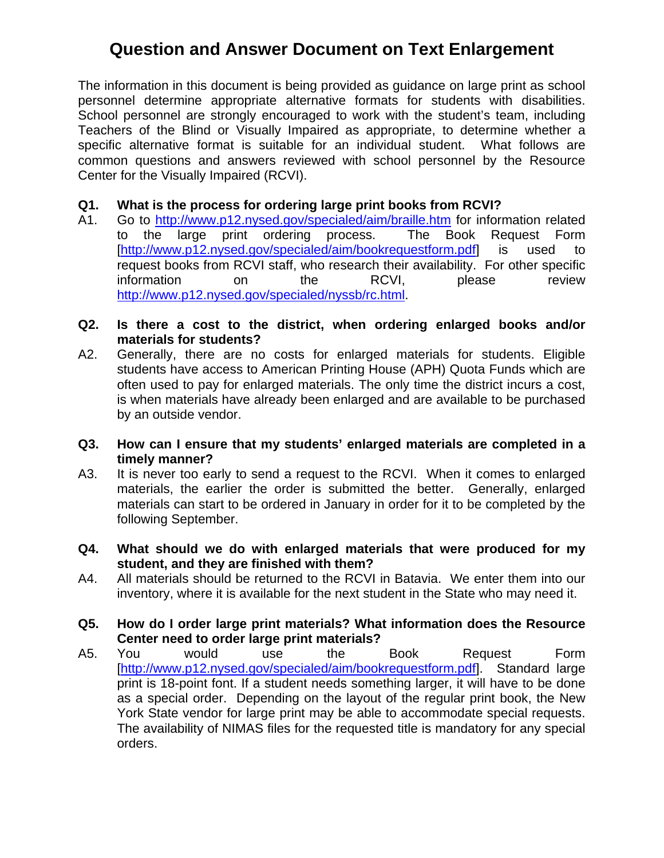personnel determine appropriate alternative formats for students with disabilities. The information in this document is being provided as guidance on large print as school School personnel are strongly encouraged to work with the student's team, including Teachers of the Blind or Visually Impaired as appropriate, to determine whether a specific alternative format is suitable for an individual student. What follows are common questions and answers reviewed with school personnel by the Resource Center for the Visually Impaired (RCVI).

#### **Q1. What is the process for ordering large print books from RCVI?**

- A1. Go to http://www.p12.nysed.gov/specialed/aim/braille.htm for information related to the large print ordering process. The Book Request Form [http://www.p12.nysed.gov/specialed/aim/bookrequestform.pdf] is used to request books from RCVI staff, who research their availability. For other specific information on the RCVI, please review http://www.p12.nysed.gov/specialed/nyssb/rc.html.
- **Q2. Is there a cost to the district, when ordering enlarged books and/or materials for students?**
- A2. Generally, there are no costs for enlarged materials for students. Eligible students have access to American Printing House (APH) Quota Funds which are often used to pay for enlarged materials. The only time the district incurs a cost, is when materials have already been enlarged and are available to be purchased by an outside vendor.
- **Q3. How can I ensure that my students' enlarged materials are completed in a timely manner?**
- A3. It is never too early to send a request to the RCVI. When it comes to enlarged materials, the earlier the order is submitted the better. Generally, enlarged materials can start to be ordered in January in order for it to be completed by the following September.
- **Q4. What should we do with enlarged materials that were produced for my student, and they are finished with them?**
- A4. All materials should be returned to the RCVI in Batavia. We enter them into our inventory, where it is available for the next student in the State who may need it.
- **Q5. How do I order large print materials? What information does the Resource Center need to order large print materials?**
- A5. You would use the Book Request Form [http://www.p12.nysed.gov/specialed/aim/bookrequestform.pdf]. Standard large print is 18-point font. If a student needs something larger, it will have to be done as a special order. Depending on the layout of the regular print book, the New York State vendor for large print may be able to accommodate special requests. The availability of NIMAS files for the requested title is mandatory for any special orders.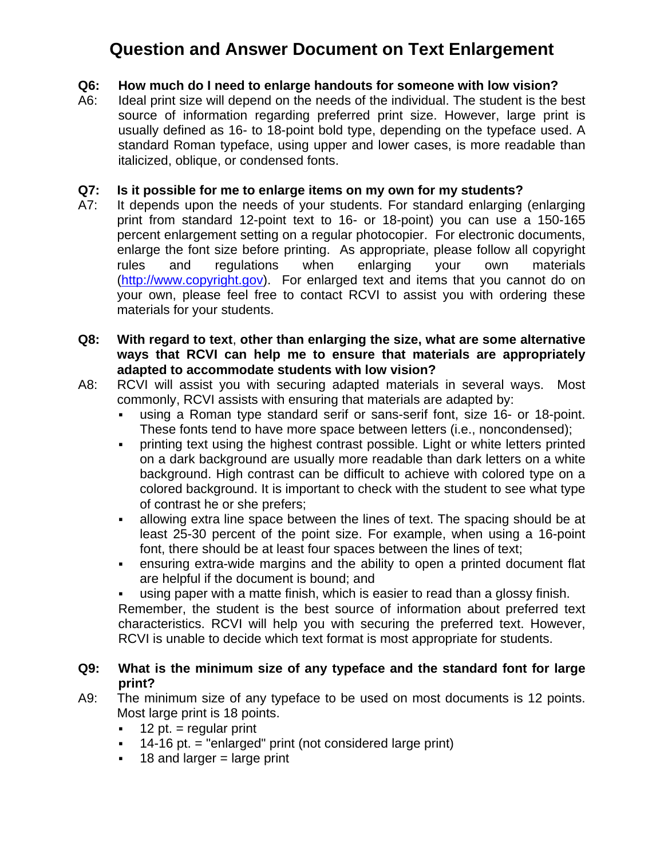### **Q6: How much do I need to enlarge handouts for someone with low vision?**

A6: Ideal print size will depend on the needs of the individual. The student is the best source of information regarding preferred print size. However, large print is usually defined as 16- to 18-point bold type, depending on the typeface used. A standard Roman typeface, using upper and lower cases, is more readable than italicized, oblique, or condensed fonts.

#### **Q7: Is it possible for me to enlarge items on my own for my students?**

- A7: It depends upon the needs of your students. For standard enlarging (enlarging print from standard 12-point text to 16- or 18-point) you can use a 150-165 percent enlargement setting on a regular photocopier. For electronic documents, enlarge the font size before printing. As appropriate, please follow all copyright rules and regulations when enlarging your own materials (http://www.copyright.gov). For enlarged text and items that you cannot do on your own, please feel free to contact RCVI to assist you with ordering these materials for your students.
- $Q8:$ With regard to text, other than enlarging the size, what are some alternative **ways that RCVI can help me to ensure that materials are appropriately adapted to accommodate students with low vision?**
- A8: RCVI will assist you with securing adapted materials in several ways. Most commonly, RCVI assists with ensuring that materials are adapted by:
	- using a Roman type standard serif or sans-serif font, size 16- or 18-point. These fonts tend to have more space between letters (i.e., noncondensed);
	- printing text using the highest contrast possible. Light or white letters printed on a dark background are usually more readable than dark letters on a white background. High contrast can be difficult to achieve with colored type on a colored background. It is important to check with the student to see what type of contrast he or she prefers;
	- allowing extra line space between the lines of text. The spacing should be at least 25-30 percent of the point size. For example, when using a 16-point font, there should be at least four spaces between the lines of text;
	- ensuring extra-wide margins and the ability to open a printed document flat are helpful if the document is bound; and
	- using paper with a matte finish, which is easier to read than a glossy finish. Remember, the student is the best source of information about preferred text characteristics. RCVI will help you with securing the preferred text. However, RCVI is unable to decide which text format is most appropriate for students.
- **Q9: What is the minimum size of any typeface and the standard font for large print?**
- A9: The minimum size of any typeface to be used on most documents is 12 points. Most large print is 18 points.
	- $\bullet$  12 pt. = regular print
	- 14-16 pt. = "enlarged" print (not considered large print)
	- $\blacksquare$  18 and larger = large print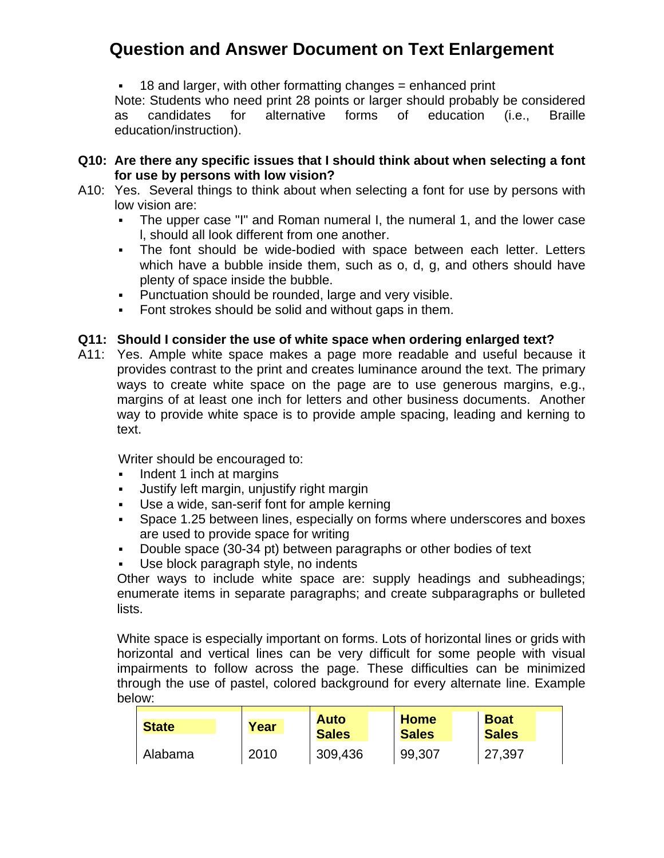18 and larger, with other formatting changes = enhanced print

Note: Students who need print 28 points or larger should probably be considered as candidates for alternative forms of education (i.e., Braille education/instruction).

#### **Q10: Are there any specific issues that I should think about when selecting a font for use by persons with low vision?**

- A10: Yes. Several things to think about when selecting a font for use by persons with low vision are:
	- The upper case "I" and Roman numeral I, the numeral 1, and the lower case l, should all look different from one another.
	- The font should be wide-bodied with space between each letter. Letters which have a bubble inside them, such as o, d, g, and others should have plenty of space inside the bubble.
	- **Punctuation should be rounded, large and very visible.**
	- Font strokes should be solid and without gaps in them.

### **Q11: Should I consider the use of white space when ordering enlarged text?**

A11: Yes. Ample white space makes a page more readable and useful because it provides contrast to the print and creates luminance around the text. The primary ways to create white space on the page are to use generous margins, e.g., margins of at least one inch for letters and other business documents. Another way to provide white space is to provide ample spacing, leading and kerning to text.

Writer should be encouraged to:

- Indent 1 inch at margins
- Justify left margin, unjustify right margin
- Use a wide, san-serif font for ample kerning
- Space 1.25 between lines, especially on forms where underscores and boxes are used to provide space for writing
- Double space (30-34 pt) between paragraphs or other bodies of text
- Use block paragraph style, no indents

Other ways to include white space are: supply headings and subheadings; enumerate items in separate paragraphs; and create subparagraphs or bulleted lists.

White space is especially important on forms. Lots of horizontal lines or grids with horizontal and vertical lines can be very difficult for some people with visual impairments to follow across the page. These difficulties can be minimized through the use of pastel, colored background for every alternate line. Example below:

| <b>State</b> | Year | <b>Auto</b><br><b>Sales</b> | <b>Home</b><br><b>Sales</b> | <b>Boat</b><br><b>Sales</b> |
|--------------|------|-----------------------------|-----------------------------|-----------------------------|
| Alabama      | 2010 | 309,436                     | 99,307                      | 27,397                      |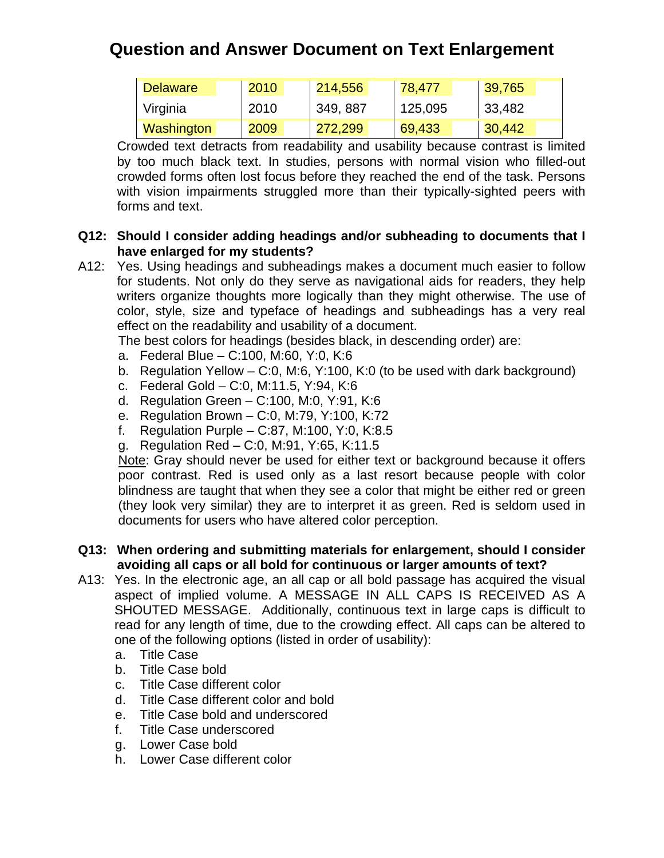| <b>Delaware</b> | 2010 | 214,556  | 78,477  | 39,765           |
|-----------------|------|----------|---------|------------------|
| Virginia        | 2010 | 349, 887 | 125,095 | $ 33,482\rangle$ |
| Washington      | 2009 | 272.299  | 69,433  | 30,442           |

Crowded text detracts from readability and usability because contrast is limited by too much black text. In studies, persons with normal vision who filled-out crowded forms often lost focus before they reached the end of the task. Persons with vision impairments struggled more than their typically-sighted peers with forms and text.

#### **Q12: Should I consider adding headings and/or subheading to documents that I have enlarged for my students?**

A12: Yes. Using headings and subheadings makes a document much easier to follow for students. Not only do they serve as navigational aids for readers, they help writers organize thoughts more logically than they might otherwise. The use of color, style, size and typeface of headings and subheadings has a very real effect on the readability and usability of a document.

The best colors for headings (besides black, in descending order) are:

- a. Federal Blue C:100, M:60, Y:0, K:6
- b. Regulation Yellow C:0, M:6, Y:100, K:0 (to be used with dark background)
- c. Federal Gold C:0, M:11.5, Y:94, K:6
- d. Regulation Green C:100, M:0, Y:91, K:6
- e. Regulation Brown C:0, M:79, Y:100, K:72
- f. Regulation Purple C:87, M:100, Y:0, K:8.5
- g. Regulation Red C:0, M:91, Y:65, K:11.5

Note: Gray should never be used for either text or background because it offers poor contrast. Red is used only as a last resort because people with color blindness are taught that when they see a color that might be either red or green (they look very similar) they are to interpret it as green. Red is seldom used in documents for users who have altered color perception.

#### **Q13: When ordering and submitting materials for enlargement, should I consider avoiding all caps or all bold for continuous or larger amounts of text?**

- A13: Yes. In the electronic age, an all cap or all bold passage has acquired the visual aspect of implied volume. A MESSAGE IN ALL CAPS IS RECEIVED AS A SHOUTED MESSAGE. Additionally, continuous text in large caps is difficult to read for any length of time, due to the crowding effect. All caps can be altered to one of the following options (listed in order of usability):
	- a. Title Case
	- b. Title Case bold
	- c. Title Case different color
	- d. Title Case different color and bold
	- e. Title Case bold and underscored
	- f. Title Case underscored
	- g. Lower Case bold
	- h. Lower Case different color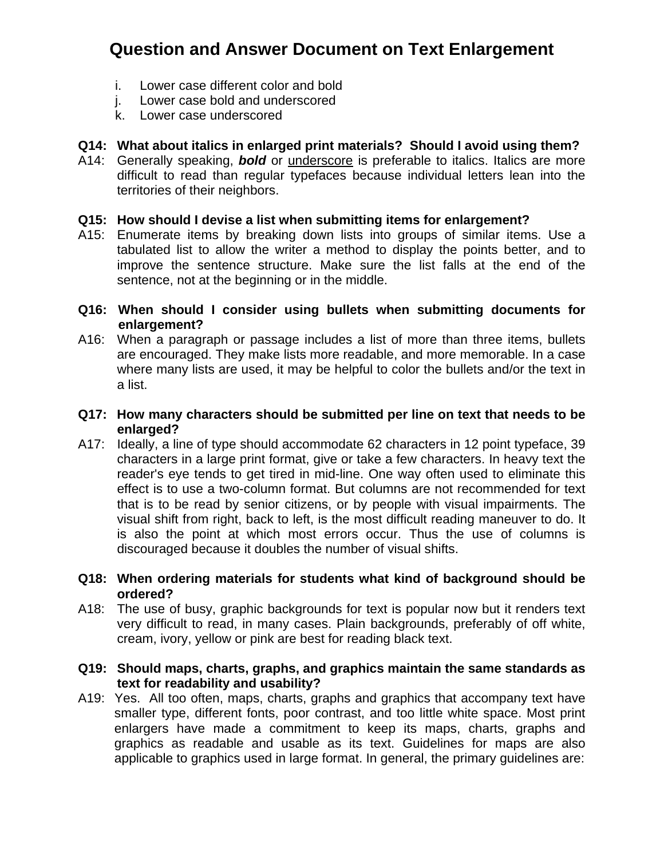- i. Lower case different color and bold
- j. Lower case bold and underscored
- k. Lower case underscored

### **Q14: What about italics in enlarged print materials? Should I avoid using them?**

A14: Generally speaking, *bold* or underscore is preferable to italics. Italics are more difficult to read than regular typefaces because individual letters lean into the territories of their neighbors.

### **Q15: How should I devise a list when submitting items for enlargement?**

A15: Enumerate items by breaking down lists into groups of similar items. Use a tabulated list to allow the writer a method to display the points better, and to improve the sentence structure. Make sure the list falls at the end of the sentence, not at the beginning or in the middle.

#### **Q16: When should I consider using bullets when submitting documents for enlargement?**

A16: When a paragraph or passage includes a list of more than three items, bullets are encouraged. They make lists more readable, and more memorable. In a case where many lists are used, it may be helpful to color the bullets and/or the text in a list.

#### **Q17: How many characters should be submitted per line on text that needs to be enlarged?**

A17: Ideally, a line of type should accommodate 62 characters in 12 point typeface, 39 characters in a large print format, give or take a few characters. In heavy text the reader's eye tends to get tired in mid-line. One way often used to eliminate this effect is to use a two-column format. But columns are not recommended for text that is to be read by senior citizens, or by people with visual impairments. The visual shift from right, back to left, is the most difficult reading maneuver to do. It is also the point at which most errors occur. Thus the use of columns is discouraged because it doubles the number of visual shifts.

#### **Q18: When ordering materials for students what kind of background should be ordered?**

A18: The use of busy, graphic backgrounds for text is popular now but it renders text very difficult to read, in many cases. Plain backgrounds, preferably of off white, cream, ivory, yellow or pink are best for reading black text.

#### **Q19: Should maps, charts, graphs, and graphics maintain the same standards as text for readability and usability?**

A19: Yes. All too often, maps, charts, graphs and graphics that accompany text have smaller type, different fonts, poor contrast, and too little white space. Most print enlargers have made a commitment to keep its maps, charts, graphs and graphics as readable and usable as its text. Guidelines for maps are also applicable to graphics used in large format. In general, the primary guidelines are: